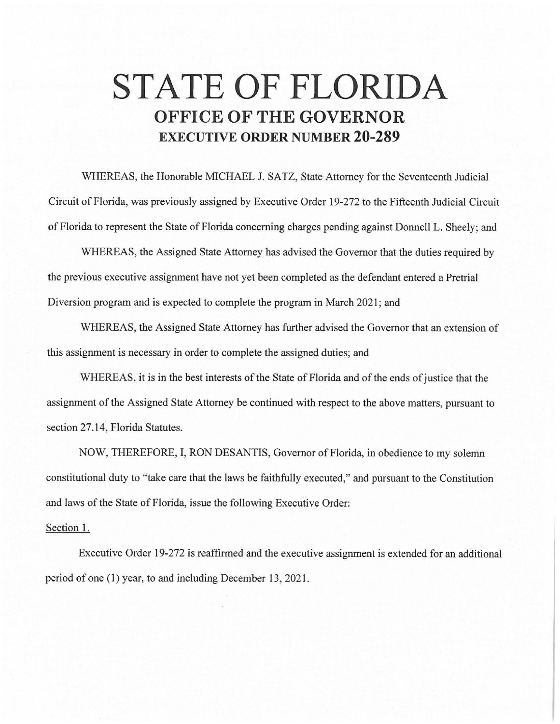## **STATE OF FLORIDA OFFICE OF THE GOVERNOR EXECUTIVE ORDER NUMBER 20-289**

WHEREAS, the Honorable MICHAEL J. SATZ, State Attorney for the Seventeenth Judicial Circuit of Florida, was previously assigned by Executive Order 19-272 to the Fifteenth Judicial Circuit of Florida to represent the State of Florida concerning charges pending against Donnell L. Sheely; and

WHEREAS, the Assigned State Attorney has advised the Governor that the duties required by the previous executive assignment have not yet been completed as the defendant entered a Pretrial Diversion program and is expected to complete the program in March 2021; and

WHEREAS, the Assigned State Attorney has further advised the Governor that an extension of this assignment is necessary in order to complete the assigned duties; and

WHEREAS, it is in the best interests of the State of Florida and of the ends of justice that the assignment of the Assigned State Attorney be continued with respect to the above matters, pursuant to section 27.14, Florida Statutes.

NOW, THEREFORE, I, RON DESANTIS, Governor of Florida, in obedience to my solemn constitutional duty to "take care that the laws be faithfully executed," and pursuant to the Constitution and laws of the State of Florida, issue the following Executive Order:

## Section 1.

Executive Order 19-272 is reaffirmed and the executive assignment is extended for an additional period of one (1) year, to and including December 13, 2021.